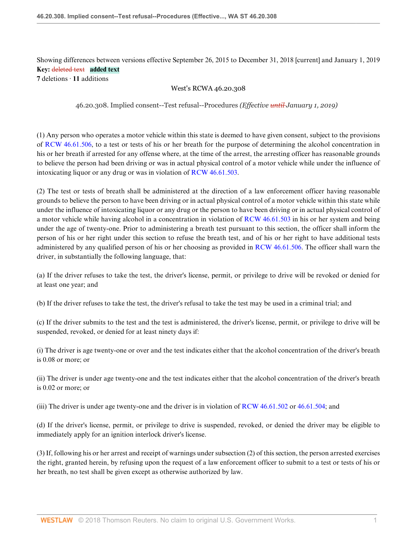# Showing differences between versions effective September 26, 2015 to December 31, 2018 [current] and January 1, 2019 **Key:** deleted text **added text**

**7** deletions · **11** additions

## West's RCWA 46.20.308

46.20.308. Implied consent--Test refusal--Procedures *(Effective until January 1, 2019)*

(1) Any person who operates a motor vehicle within this state is deemed to have given consent, subject to the provisions of [RCW 46.61.506](http://www.westlaw.com/Link/Document/FullText?findType=L&pubNum=1000259&cite=WAST46.61.506&refType=LQ&originationContext=document&vr=3.0&rs=cblt1.0&transitionType=DocumentItem&contextData=(sc.UserEnteredCitation)), to a test or tests of his or her breath for the purpose of determining the alcohol concentration in his or her breath if arrested for any offense where, at the time of the arrest, the arresting officer has reasonable grounds to believe the person had been driving or was in actual physical control of a motor vehicle while under the influence of intoxicating liquor or any drug or was in violation of [RCW 46.61.503.](http://www.westlaw.com/Link/Document/FullText?findType=L&pubNum=1000259&cite=WAST46.61.503&refType=LQ&originationContext=document&vr=3.0&rs=cblt1.0&transitionType=DocumentItem&contextData=(sc.UserEnteredCitation))

(2) The test or tests of breath shall be administered at the direction of a law enforcement officer having reasonable grounds to believe the person to have been driving or in actual physical control of a motor vehicle within this state while under the influence of intoxicating liquor or any drug or the person to have been driving or in actual physical control of a motor vehicle while having alcohol in a concentration in violation of [RCW 46.61.503](http://www.westlaw.com/Link/Document/FullText?findType=L&pubNum=1000259&cite=WAST46.61.503&refType=LQ&originationContext=document&vr=3.0&rs=cblt1.0&transitionType=DocumentItem&contextData=(sc.UserEnteredCitation)) in his or her system and being under the age of twenty-one. Prior to administering a breath test pursuant to this section, the officer shall inform the person of his or her right under this section to refuse the breath test, and of his or her right to have additional tests administered by any qualified person of his or her choosing as provided in [RCW 46.61.506.](http://www.westlaw.com/Link/Document/FullText?findType=L&pubNum=1000259&cite=WAST46.61.506&refType=LQ&originationContext=document&vr=3.0&rs=cblt1.0&transitionType=DocumentItem&contextData=(sc.UserEnteredCitation)) The officer shall warn the driver, in substantially the following language, that:

(a) If the driver refuses to take the test, the driver's license, permit, or privilege to drive will be revoked or denied for at least one year; and

(b) If the driver refuses to take the test, the driver's refusal to take the test may be used in a criminal trial; and

(c) If the driver submits to the test and the test is administered, the driver's license, permit, or privilege to drive will be suspended, revoked, or denied for at least ninety days if:

(i) The driver is age twenty-one or over and the test indicates either that the alcohol concentration of the driver's breath is 0.08 or more; or

(ii) The driver is under age twenty-one and the test indicates either that the alcohol concentration of the driver's breath is 0.02 or more; or

(iii) The driver is under age twenty-one and the driver is in violation of [RCW 46.61.502](http://www.westlaw.com/Link/Document/FullText?findType=L&pubNum=1000259&cite=WAST46.61.502&refType=LQ&originationContext=document&vr=3.0&rs=cblt1.0&transitionType=DocumentItem&contextData=(sc.UserEnteredCitation)) or [46.61.504;](http://www.westlaw.com/Link/Document/FullText?findType=L&pubNum=1000259&cite=WAST46.61.504&refType=LQ&originationContext=document&vr=3.0&rs=cblt1.0&transitionType=DocumentItem&contextData=(sc.UserEnteredCitation)) and

(d) If the driver's license, permit, or privilege to drive is suspended, revoked, or denied the driver may be eligible to immediately apply for an ignition interlock driver's license.

(3) If, following his or her arrest and receipt of warnings under subsection (2) of this section, the person arrested exercises the right, granted herein, by refusing upon the request of a law enforcement officer to submit to a test or tests of his or her breath, no test shall be given except as otherwise authorized by law.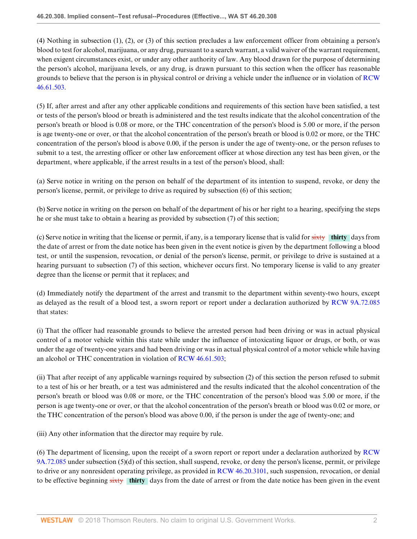(4) Nothing in subsection (1), (2), or (3) of this section precludes a law enforcement officer from obtaining a person's blood to test for alcohol, marijuana, or any drug, pursuant to a search warrant, a valid waiver of the warrant requirement, when exigent circumstances exist, or under any other authority of law. Any blood drawn for the purpose of determining the person's alcohol, marijuana levels, or any drug, is drawn pursuant to this section when the officer has reasonable grounds to believe that the person is in physical control or driving a vehicle under the influence or in violation of [RCW](http://www.westlaw.com/Link/Document/FullText?findType=L&pubNum=1000259&cite=WAST46.61.503&refType=LQ&originationContext=document&vr=3.0&rs=cblt1.0&transitionType=DocumentItem&contextData=(sc.UserEnteredCitation)) [46.61.503](http://www.westlaw.com/Link/Document/FullText?findType=L&pubNum=1000259&cite=WAST46.61.503&refType=LQ&originationContext=document&vr=3.0&rs=cblt1.0&transitionType=DocumentItem&contextData=(sc.UserEnteredCitation)).

(5) If, after arrest and after any other applicable conditions and requirements of this section have been satisfied, a test or tests of the person's blood or breath is administered and the test results indicate that the alcohol concentration of the person's breath or blood is 0.08 or more, or the THC concentration of the person's blood is 5.00 or more, if the person is age twenty-one or over, or that the alcohol concentration of the person's breath or blood is 0.02 or more, or the THC concentration of the person's blood is above 0.00, if the person is under the age of twenty-one, or the person refuses to submit to a test, the arresting officer or other law enforcement officer at whose direction any test has been given, or the department, where applicable, if the arrest results in a test of the person's blood, shall:

(a) Serve notice in writing on the person on behalf of the department of its intention to suspend, revoke, or deny the person's license, permit, or privilege to drive as required by subsection (6) of this section;

(b) Serve notice in writing on the person on behalf of the department of his or her right to a hearing, specifying the steps he or she must take to obtain a hearing as provided by subsection (7) of this section;

(c) Serve notice in writing that the license or permit, if any, is a temporary license that is valid for sixty **thirty** days from the date of arrest or from the date notice has been given in the event notice is given by the department following a blood test, or until the suspension, revocation, or denial of the person's license, permit, or privilege to drive is sustained at a hearing pursuant to subsection (7) of this section, whichever occurs first. No temporary license is valid to any greater degree than the license or permit that it replaces; and

(d) Immediately notify the department of the arrest and transmit to the department within seventy-two hours, except as delayed as the result of a blood test, a sworn report or report under a declaration authorized by [RCW 9A.72.085](http://www.westlaw.com/Link/Document/FullText?findType=L&pubNum=1000259&cite=WAST9A.72.085&refType=LQ&originationContext=document&vr=3.0&rs=cblt1.0&transitionType=DocumentItem&contextData=(sc.UserEnteredCitation)) that states:

(i) That the officer had reasonable grounds to believe the arrested person had been driving or was in actual physical control of a motor vehicle within this state while under the influence of intoxicating liquor or drugs, or both, or was under the age of twenty-one years and had been driving or was in actual physical control of a motor vehicle while having an alcohol or THC concentration in violation of [RCW 46.61.503](http://www.westlaw.com/Link/Document/FullText?findType=L&pubNum=1000259&cite=WAST46.61.503&refType=LQ&originationContext=document&vr=3.0&rs=cblt1.0&transitionType=DocumentItem&contextData=(sc.UserEnteredCitation));

(ii) That after receipt of any applicable warnings required by subsection (2) of this section the person refused to submit to a test of his or her breath, or a test was administered and the results indicated that the alcohol concentration of the person's breath or blood was 0.08 or more, or the THC concentration of the person's blood was 5.00 or more, if the person is age twenty-one or over, or that the alcohol concentration of the person's breath or blood was 0.02 or more, or the THC concentration of the person's blood was above 0.00, if the person is under the age of twenty-one; and

(iii) Any other information that the director may require by rule.

(6) The department of licensing, upon the receipt of a sworn report or report under a declaration authorized by [RCW](http://www.westlaw.com/Link/Document/FullText?findType=L&pubNum=1000259&cite=WAST9A.72.085&refType=LQ&originationContext=document&vr=3.0&rs=cblt1.0&transitionType=DocumentItem&contextData=(sc.UserEnteredCitation)) [9A.72.085](http://www.westlaw.com/Link/Document/FullText?findType=L&pubNum=1000259&cite=WAST9A.72.085&refType=LQ&originationContext=document&vr=3.0&rs=cblt1.0&transitionType=DocumentItem&contextData=(sc.UserEnteredCitation)) under subsection (5)(d) of this section, shall suspend, revoke, or deny the person's license, permit, or privilege to drive or any nonresident operating privilege, as provided in [RCW 46.20.3101,](http://www.westlaw.com/Link/Document/FullText?findType=L&pubNum=1000259&cite=WAST46.20.3101&refType=LQ&originationContext=document&vr=3.0&rs=cblt1.0&transitionType=DocumentItem&contextData=(sc.UserEnteredCitation)) such suspension, revocation, or denial to be effective beginning sixty **thirty** days from the date of arrest or from the date notice has been given in the event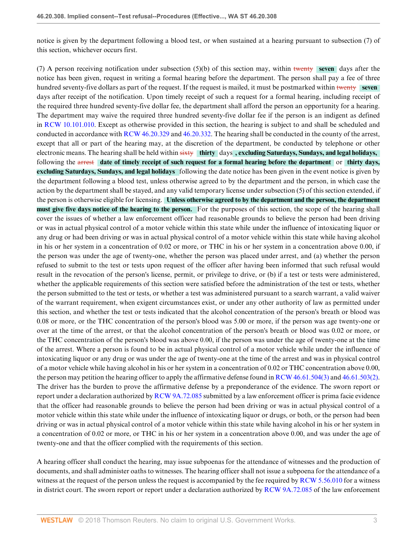notice is given by the department following a blood test, or when sustained at a hearing pursuant to subsection (7) of this section, whichever occurs first.

(7) A person receiving notification under subsection (5)(b) of this section may, within twenty **seven** days after the notice has been given, request in writing a formal hearing before the department. The person shall pay a fee of three hundred seventy-five dollars as part of the request. If the request is mailed, it must be postmarked within twenty **seven** days after receipt of the notification. Upon timely receipt of such a request for a formal hearing, including receipt of the required three hundred seventy-five dollar fee, the department shall afford the person an opportunity for a hearing. The department may waive the required three hundred seventy-five dollar fee if the person is an indigent as defined in [RCW 10.101.010](http://www.westlaw.com/Link/Document/FullText?findType=L&pubNum=1000259&cite=WAST10.101.010&refType=LQ&originationContext=document&vr=3.0&rs=cblt1.0&transitionType=DocumentItem&contextData=(sc.UserEnteredCitation)). Except as otherwise provided in this section, the hearing is subject to and shall be scheduled and conducted in accordance with [RCW 46.20.329](http://www.westlaw.com/Link/Document/FullText?findType=L&pubNum=1000259&cite=WAST46.20.329&refType=LQ&originationContext=document&vr=3.0&rs=cblt1.0&transitionType=DocumentItem&contextData=(sc.UserEnteredCitation)) and [46.20.332.](http://www.westlaw.com/Link/Document/FullText?findType=L&pubNum=1000259&cite=WAST46.20.332&refType=LQ&originationContext=document&vr=3.0&rs=cblt1.0&transitionType=DocumentItem&contextData=(sc.UserEnteredCitation)) The hearing shall be conducted in the county of the arrest, except that all or part of the hearing may, at the discretion of the department, be conducted by telephone or other electronic means. The hearing shall be held within sixty **thirty** days **, excluding Saturdays, Sundays, and legal holidays,** following the arrest **date of timely receipt of such request for a formal hearing before the department** or **thirty days, excluding Saturdays, Sundays, and legal holidays** following the date notice has been given in the event notice is given by the department following a blood test, unless otherwise agreed to by the department and the person, in which case the action by the department shall be stayed, and any valid temporary license under subsection (5) of this section extended, if the person is otherwise eligible for licensing. **Unless otherwise agreed to by the department and the person, the department must give five days notice of the hearing to the person.** For the purposes of this section, the scope of the hearing shall cover the issues of whether a law enforcement officer had reasonable grounds to believe the person had been driving or was in actual physical control of a motor vehicle within this state while under the influence of intoxicating liquor or any drug or had been driving or was in actual physical control of a motor vehicle within this state while having alcohol in his or her system in a concentration of 0.02 or more, or THC in his or her system in a concentration above 0.00, if the person was under the age of twenty-one, whether the person was placed under arrest, and (a) whether the person refused to submit to the test or tests upon request of the officer after having been informed that such refusal would result in the revocation of the person's license, permit, or privilege to drive, or (b) if a test or tests were administered, whether the applicable requirements of this section were satisfied before the administration of the test or tests, whether the person submitted to the test or tests, or whether a test was administered pursuant to a search warrant, a valid waiver of the warrant requirement, when exigent circumstances exist, or under any other authority of law as permitted under this section, and whether the test or tests indicated that the alcohol concentration of the person's breath or blood was 0.08 or more, or the THC concentration of the person's blood was 5.00 or more, if the person was age twenty-one or over at the time of the arrest, or that the alcohol concentration of the person's breath or blood was 0.02 or more, or the THC concentration of the person's blood was above 0.00, if the person was under the age of twenty-one at the time of the arrest. Where a person is found to be in actual physical control of a motor vehicle while under the influence of intoxicating liquor or any drug or was under the age of twenty-one at the time of the arrest and was in physical control of a motor vehicle while having alcohol in his or her system in a concentration of 0.02 or THC concentration above 0.00, the person may petition the hearing officer to apply the affirmative defense found in [RCW 46.61.504\(3\)](http://www.westlaw.com/Link/Document/FullText?findType=L&pubNum=1000259&cite=WAST46.61.504&refType=SP&originationContext=document&vr=3.0&rs=cblt1.0&transitionType=DocumentItem&contextData=(sc.UserEnteredCitation)#co_pp_d08f0000f5f67) and [46.61.503\(2\)](http://www.westlaw.com/Link/Document/FullText?findType=L&pubNum=1000259&cite=WAST46.61.503&refType=SP&originationContext=document&vr=3.0&rs=cblt1.0&transitionType=DocumentItem&contextData=(sc.UserEnteredCitation)#co_pp_58730000872b1). The driver has the burden to prove the affirmative defense by a preponderance of the evidence. The sworn report or report under a declaration authorized by [RCW 9A.72.085](http://www.westlaw.com/Link/Document/FullText?findType=L&pubNum=1000259&cite=WAST9A.72.085&refType=LQ&originationContext=document&vr=3.0&rs=cblt1.0&transitionType=DocumentItem&contextData=(sc.UserEnteredCitation)) submitted by a law enforcement officer is prima facie evidence that the officer had reasonable grounds to believe the person had been driving or was in actual physical control of a motor vehicle within this state while under the influence of intoxicating liquor or drugs, or both, or the person had been driving or was in actual physical control of a motor vehicle within this state while having alcohol in his or her system in a concentration of 0.02 or more, or THC in his or her system in a concentration above 0.00, and was under the age of twenty-one and that the officer complied with the requirements of this section.

A hearing officer shall conduct the hearing, may issue subpoenas for the attendance of witnesses and the production of documents, and shall administer oaths to witnesses. The hearing officer shall not issue a subpoena for the attendance of a witness at the request of the person unless the request is accompanied by the fee required by [RCW 5.56.010](http://www.westlaw.com/Link/Document/FullText?findType=L&pubNum=1000259&cite=WAST5.56.010&refType=LQ&originationContext=document&vr=3.0&rs=cblt1.0&transitionType=DocumentItem&contextData=(sc.UserEnteredCitation)) for a witness in district court. The sworn report or report under a declaration authorized by [RCW 9A.72.085](http://www.westlaw.com/Link/Document/FullText?findType=L&pubNum=1000259&cite=WAST9A.72.085&refType=LQ&originationContext=document&vr=3.0&rs=cblt1.0&transitionType=DocumentItem&contextData=(sc.UserEnteredCitation)) of the law enforcement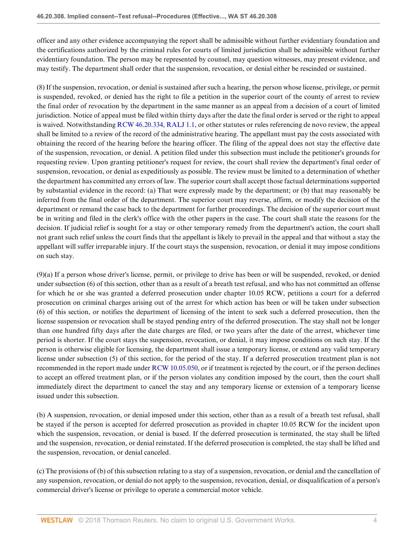officer and any other evidence accompanying the report shall be admissible without further evidentiary foundation and the certifications authorized by the criminal rules for courts of limited jurisdiction shall be admissible without further evidentiary foundation. The person may be represented by counsel, may question witnesses, may present evidence, and may testify. The department shall order that the suspension, revocation, or denial either be rescinded or sustained.

(8) If the suspension, revocation, or denial is sustained after such a hearing, the person whose license, privilege, or permit is suspended, revoked, or denied has the right to file a petition in the superior court of the county of arrest to review the final order of revocation by the department in the same manner as an appeal from a decision of a court of limited jurisdiction. Notice of appeal must be filed within thirty days after the date the final order is served or the right to appeal is waived. Notwithstanding [RCW 46.20.334,](http://www.westlaw.com/Link/Document/FullText?findType=L&pubNum=1000259&cite=WAST46.20.334&refType=LQ&originationContext=document&vr=3.0&rs=cblt1.0&transitionType=DocumentItem&contextData=(sc.UserEnteredCitation)) [RALJ 1.1,](http://www.westlaw.com/Link/Document/FullText?findType=L&pubNum=1003991&cite=WARALTDJRALJ1.1&refType=LQ&originationContext=document&vr=3.0&rs=cblt1.0&transitionType=DocumentItem&contextData=(sc.UserEnteredCitation)) or other statutes or rules referencing de novo review, the appeal shall be limited to a review of the record of the administrative hearing. The appellant must pay the costs associated with obtaining the record of the hearing before the hearing officer. The filing of the appeal does not stay the effective date of the suspension, revocation, or denial. A petition filed under this subsection must include the petitioner's grounds for requesting review. Upon granting petitioner's request for review, the court shall review the department's final order of suspension, revocation, or denial as expeditiously as possible. The review must be limited to a determination of whether the department has committed any errors of law. The superior court shall accept those factual determinations supported by substantial evidence in the record: (a) That were expressly made by the department; or (b) that may reasonably be inferred from the final order of the department. The superior court may reverse, affirm, or modify the decision of the department or remand the case back to the department for further proceedings. The decision of the superior court must be in writing and filed in the clerk's office with the other papers in the case. The court shall state the reasons for the decision. If judicial relief is sought for a stay or other temporary remedy from the department's action, the court shall not grant such relief unless the court finds that the appellant is likely to prevail in the appeal and that without a stay the appellant will suffer irreparable injury. If the court stays the suspension, revocation, or denial it may impose conditions on such stay.

(9)(a) If a person whose driver's license, permit, or privilege to drive has been or will be suspended, revoked, or denied under subsection (6) of this section, other than as a result of a breath test refusal, and who has not committed an offense for which he or she was granted a deferred prosecution under chapter 10.05 RCW, petitions a court for a deferred prosecution on criminal charges arising out of the arrest for which action has been or will be taken under subsection (6) of this section, or notifies the department of licensing of the intent to seek such a deferred prosecution, then the license suspension or revocation shall be stayed pending entry of the deferred prosecution. The stay shall not be longer than one hundred fifty days after the date charges are filed, or two years after the date of the arrest, whichever time period is shorter. If the court stays the suspension, revocation, or denial, it may impose conditions on such stay. If the person is otherwise eligible for licensing, the department shall issue a temporary license, or extend any valid temporary license under subsection (5) of this section, for the period of the stay. If a deferred prosecution treatment plan is not recommended in the report made under [RCW 10.05.050](http://www.westlaw.com/Link/Document/FullText?findType=L&pubNum=1000259&cite=WAST10.05.050&refType=LQ&originationContext=document&vr=3.0&rs=cblt1.0&transitionType=DocumentItem&contextData=(sc.UserEnteredCitation)), or if treatment is rejected by the court, or if the person declines to accept an offered treatment plan, or if the person violates any condition imposed by the court, then the court shall immediately direct the department to cancel the stay and any temporary license or extension of a temporary license issued under this subsection.

(b) A suspension, revocation, or denial imposed under this section, other than as a result of a breath test refusal, shall be stayed if the person is accepted for deferred prosecution as provided in chapter 10.05 RCW for the incident upon which the suspension, revocation, or denial is based. If the deferred prosecution is terminated, the stay shall be lifted and the suspension, revocation, or denial reinstated. If the deferred prosecution is completed, the stay shall be lifted and the suspension, revocation, or denial canceled.

(c) The provisions of (b) of this subsection relating to a stay of a suspension, revocation, or denial and the cancellation of any suspension, revocation, or denial do not apply to the suspension, revocation, denial, or disqualification of a person's commercial driver's license or privilege to operate a commercial motor vehicle.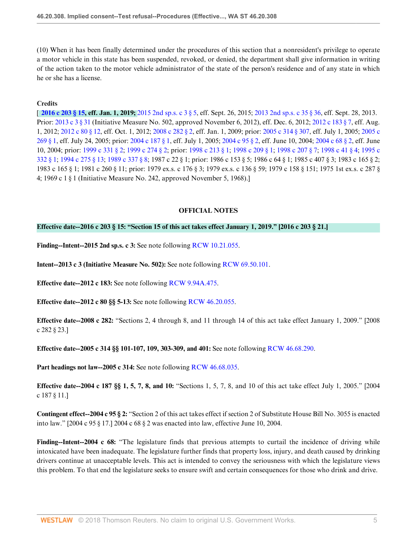(10) When it has been finally determined under the procedures of this section that a nonresident's privilege to operate a motor vehicle in this state has been suspended, revoked, or denied, the department shall give information in writing of the action taken to the motor vehicle administrator of the state of the person's residence and of any state in which he or she has a license.

## **Credits**

[ **[2016 c 203 § 15,](http://www.westlaw.com/Link/Document/FullText?findType=l&pubNum=1077005&cite=UUID(I4E35CFB006-1811E6A52FB-1CA597BF935)&refType=SL&originationContext=document&vr=3.0&rs=cblt1.0&transitionType=DocumentItem&contextData=(sc.UserEnteredCitation)) eff. Jan. 1, 2019;** [2015 2nd sp.s. c 3 § 5,](http://www.westlaw.com/Link/Document/FullText?findType=l&pubNum=1077005&cite=UUID(I0AC0352031-0E11E5B10B9-D862CFB6F85)&refType=SL&originationContext=document&vr=3.0&rs=cblt1.0&transitionType=DocumentItem&contextData=(sc.UserEnteredCitation)) eff. Sept. 26, 2015; [2013 2nd sp.s. c 35 § 36](http://www.westlaw.com/Link/Document/FullText?findType=l&pubNum=1077005&cite=UUID(I019B2B50FA-4511E2BD0DF-4E378ED7DA9)&refType=SL&originationContext=document&vr=3.0&rs=cblt1.0&transitionType=DocumentItem&contextData=(sc.UserEnteredCitation)), eff. Sept. 28, 2013. Prior: [2013 c 3 § 31](http://www.westlaw.com/Link/Document/FullText?findType=l&pubNum=1077005&cite=UUID(IF65ACDE06C-9111E2BD1FD-539B99EB2B0)&refType=SL&originationContext=document&vr=3.0&rs=cblt1.0&transitionType=DocumentItem&contextData=(sc.UserEnteredCitation)) (Initiative Measure No. 502, approved November 6, 2012), eff. Dec. 6, 2012; [2012 c 183 § 7](http://www.westlaw.com/Link/Document/FullText?findType=l&pubNum=1077005&cite=UUID(ID103721083-EC11E1815BB-4A210B5E8EB)&refType=SL&originationContext=document&vr=3.0&rs=cblt1.0&transitionType=DocumentItem&contextData=(sc.UserEnteredCitation)), eff. Aug. 1, 2012; [2012 c 80 § 12](http://www.westlaw.com/Link/Document/FullText?findType=l&pubNum=1077005&cite=UUID(I019649E078-F611E1AE1DE-C67B4337F9B)&refType=SL&originationContext=document&vr=3.0&rs=cblt1.0&transitionType=DocumentItem&contextData=(sc.UserEnteredCitation)), eff. Oct. 1, 2012; [2008 c 282 § 2,](http://www.westlaw.com/Link/Document/FullText?findType=l&pubNum=1077005&cite=UUID(I28ED738005-6C11DDBC749-259A1950580)&refType=SL&originationContext=document&vr=3.0&rs=cblt1.0&transitionType=DocumentItem&contextData=(sc.UserEnteredCitation)) eff. Jan. 1, 2009; prior: [2005 c 314 § 307](http://www.westlaw.com/Link/Document/FullText?findType=l&pubNum=1077005&cite=UUID(I38E85560C9-2A11D99141F-7B46458522B)&refType=SL&originationContext=document&vr=3.0&rs=cblt1.0&transitionType=DocumentItem&contextData=(sc.UserEnteredCitation)), eff. July 1, 2005; [2005 c](http://www.westlaw.com/Link/Document/FullText?findType=l&pubNum=1077005&cite=UUID(IAEE21580C7-9F11D9B6ADD-A13E5756556)&refType=SL&originationContext=document&vr=3.0&rs=cblt1.0&transitionType=DocumentItem&contextData=(sc.UserEnteredCitation)) [269 § 1,](http://www.westlaw.com/Link/Document/FullText?findType=l&pubNum=1077005&cite=UUID(IAEE21580C7-9F11D9B6ADD-A13E5756556)&refType=SL&originationContext=document&vr=3.0&rs=cblt1.0&transitionType=DocumentItem&contextData=(sc.UserEnteredCitation)) eff. July 24, 2005; prior: [2004 c 187 § 1](http://www.westlaw.com/Link/Document/FullText?findType=l&pubNum=1077005&cite=UUID(ID8AC40D089-AB11D8A74D8-7B95E93B7F0)&refType=SL&originationContext=document&vr=3.0&rs=cblt1.0&transitionType=DocumentItem&contextData=(sc.UserEnteredCitation)), eff. July 1, 2005; [2004 c 95 § 2,](http://www.westlaw.com/Link/Document/FullText?findType=l&pubNum=1077005&cite=UUID(I1D08EBF083-3C11D8A74D8-7B95E93B7F0)&refType=SL&originationContext=document&vr=3.0&rs=cblt1.0&transitionType=DocumentItem&contextData=(sc.UserEnteredCitation)) eff. June 10, 2004; [2004 c 68 § 2,](http://www.westlaw.com/Link/Document/FullText?findType=l&pubNum=1077005&cite=UUID(IE7373FE083-3611D8A74D8-7B95E93B7F0)&refType=SL&originationContext=document&vr=3.0&rs=cblt1.0&transitionType=DocumentItem&contextData=(sc.UserEnteredCitation)) eff. June 10, 2004; prior: [1999 c 331 § 2;](http://www.westlaw.com/Link/Document/FullText?findType=l&pubNum=1077005&cite=UUID(I9F71AC4089-8C4CD48C862-43CF2D1A06B)&refType=SL&originationContext=document&vr=3.0&rs=cblt1.0&transitionType=DocumentItem&contextData=(sc.UserEnteredCitation)) [1999 c 274 § 2](http://www.westlaw.com/Link/Document/FullText?findType=l&pubNum=1077005&cite=UUID(I4540331D0D-84410DB3F96-946C2F0CE0D)&refType=SL&originationContext=document&vr=3.0&rs=cblt1.0&transitionType=DocumentItem&contextData=(sc.UserEnteredCitation)); prior: [1998 c 213 § 1;](http://www.westlaw.com/Link/Document/FullText?findType=l&pubNum=1077005&cite=UUID(I0B2B97A6AA-754269B04E0-C9071E937AC)&refType=SL&originationContext=document&vr=3.0&rs=cblt1.0&transitionType=DocumentItem&contextData=(sc.UserEnteredCitation)) [1998 c 209 § 1](http://www.westlaw.com/Link/Document/FullText?findType=l&pubNum=1077005&cite=UUID(I7A6ACE072B-F340C3ADCD3-2279F415392)&refType=SL&originationContext=document&vr=3.0&rs=cblt1.0&transitionType=DocumentItem&contextData=(sc.UserEnteredCitation)); [1998 c 207 § 7;](http://www.westlaw.com/Link/Document/FullText?findType=l&pubNum=1077005&cite=UUID(I234E8733D5-7644FD9C1FD-29932B507E8)&refType=SL&originationContext=document&vr=3.0&rs=cblt1.0&transitionType=DocumentItem&contextData=(sc.UserEnteredCitation)) [1998 c 41 § 4](http://www.westlaw.com/Link/Document/FullText?findType=l&pubNum=1077005&cite=UUID(IB83D4E39B8-434050BDBD2-F00454FD478)&refType=SL&originationContext=document&vr=3.0&rs=cblt1.0&transitionType=DocumentItem&contextData=(sc.UserEnteredCitation)); [1995 c](http://www.westlaw.com/Link/Document/FullText?findType=l&pubNum=1077005&cite=UUID(ICED704A161-3741BC8AE87-FD57ED17FFC)&refType=SL&originationContext=document&vr=3.0&rs=cblt1.0&transitionType=DocumentItem&contextData=(sc.UserEnteredCitation)) [332 § 1](http://www.westlaw.com/Link/Document/FullText?findType=l&pubNum=1077005&cite=UUID(ICED704A161-3741BC8AE87-FD57ED17FFC)&refType=SL&originationContext=document&vr=3.0&rs=cblt1.0&transitionType=DocumentItem&contextData=(sc.UserEnteredCitation)); [1994 c 275 § 13;](http://www.westlaw.com/Link/Document/FullText?findType=l&pubNum=1077005&cite=UUID(I130814D83B-A34F83A47FD-CDCFAC94DBA)&refType=SL&originationContext=document&vr=3.0&rs=cblt1.0&transitionType=DocumentItem&contextData=(sc.UserEnteredCitation)) [1989 c 337 § 8;](http://www.westlaw.com/Link/Document/FullText?findType=l&pubNum=1077005&cite=UUID(I4CE37D6B2F-904732B9029-FFE2B44108E)&refType=SL&originationContext=document&vr=3.0&rs=cblt1.0&transitionType=DocumentItem&contextData=(sc.UserEnteredCitation)) 1987 c 22 § 1; prior: 1986 c 153 § 5; 1986 c 64 § 1; 1985 c 407 § 3; 1983 c 165 § 2; 1983 c 165 § 1; 1981 c 260 § 11; prior: 1979 ex.s. c 176 § 3; 1979 ex.s. c 136 § 59; 1979 c 158 § 151; 1975 1st ex.s. c 287 § 4; 1969 c 1 § 1 (Initiative Measure No. 242, approved November 5, 1968).]

### **OFFICIAL NOTES**

### **Effective date--2016 c 203 § 15: "Section 15 of this act takes effect January 1, 2019." [2016 c 203 § 21.]**

**Finding--Intent--2015 2nd sp.s. c 3:** See note following [RCW 10.21.055.](http://www.westlaw.com/Link/Document/FullText?findType=L&pubNum=1000259&cite=WAST10.21.055&refType=LQ&originationContext=document&vr=3.0&rs=cblt1.0&transitionType=DocumentItem&contextData=(sc.UserEnteredCitation))

**Intent--2013 c 3 (Initiative Measure No. 502):** See note following [RCW 69.50.101](http://www.westlaw.com/Link/Document/FullText?findType=L&pubNum=1000259&cite=WAST69.50.101&refType=LQ&originationContext=document&vr=3.0&rs=cblt1.0&transitionType=DocumentItem&contextData=(sc.UserEnteredCitation)).

**Effective date--2012 c 183:** See note following [RCW 9.94A.475.](http://www.westlaw.com/Link/Document/FullText?findType=L&pubNum=1000259&cite=WAST9.94A.475&refType=LQ&originationContext=document&vr=3.0&rs=cblt1.0&transitionType=DocumentItem&contextData=(sc.UserEnteredCitation))

**Effective date--2012 c 80 §§ 5-13:** See note following [RCW 46.20.055](http://www.westlaw.com/Link/Document/FullText?findType=L&pubNum=1000259&cite=WAST46.20.055&refType=LQ&originationContext=document&vr=3.0&rs=cblt1.0&transitionType=DocumentItem&contextData=(sc.UserEnteredCitation)).

**Effective date--2008 c 282:** "Sections 2, 4 through 8, and 11 through 14 of this act take effect January 1, 2009." [2008 c 282 § 23.]

**Effective date--2005 c 314 §§ 101-107, 109, 303-309, and 401:** See note following [RCW 46.68.290.](http://www.westlaw.com/Link/Document/FullText?findType=L&pubNum=1000259&cite=WAST46.68.290&refType=LQ&originationContext=document&vr=3.0&rs=cblt1.0&transitionType=DocumentItem&contextData=(sc.UserEnteredCitation))

**Part headings not law--2005 c 314:** See note following [RCW 46.68.035.](http://www.westlaw.com/Link/Document/FullText?findType=L&pubNum=1000259&cite=WAST46.68.035&refType=LQ&originationContext=document&vr=3.0&rs=cblt1.0&transitionType=DocumentItem&contextData=(sc.UserEnteredCitation))

**Effective date--2004 c 187 §§ 1, 5, 7, 8, and 10:** "Sections 1, 5, 7, 8, and 10 of this act take effect July 1, 2005." [2004 c 187 § 11.]

**Contingent effect--2004 c 95 § 2:** "Section 2 of this act takes effect if section 2 of Substitute House Bill No. 3055 is enacted into law." [2004 c 95 § 17.] 2004 c 68 § 2 was enacted into law, effective June 10, 2004.

**Finding--Intent--2004 c 68:** "The legislature finds that previous attempts to curtail the incidence of driving while intoxicated have been inadequate. The legislature further finds that property loss, injury, and death caused by drinking drivers continue at unacceptable levels. This act is intended to convey the seriousness with which the legislature views this problem. To that end the legislature seeks to ensure swift and certain consequences for those who drink and drive.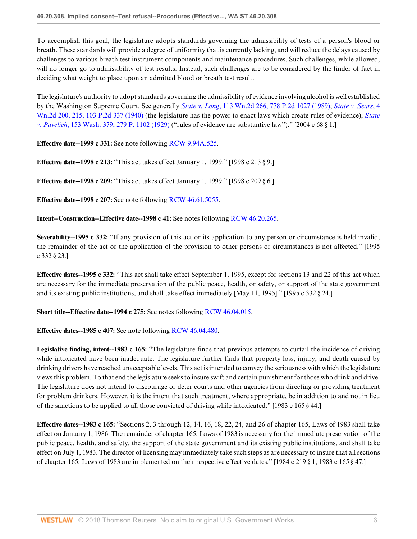To accomplish this goal, the legislature adopts standards governing the admissibility of tests of a person's blood or breath. These standards will provide a degree of uniformity that is currently lacking, and will reduce the delays caused by challenges to various breath test instrument components and maintenance procedures. Such challenges, while allowed, will no longer go to admissibility of test results. Instead, such challenges are to be considered by the finder of fact in deciding what weight to place upon an admitted blood or breath test result.

The legislature's authority to adopt standards governing the admissibility of evidence involving alcohol is well established by the Washington Supreme Court. See generally *State v. Long*[, 113 Wn.2d 266, 778 P.2d 1027 \(1989\);](http://www.westlaw.com/Link/Document/FullText?findType=Y&serNum=1989131268&pubNum=0000661&refType=RP&originationContext=document&vr=3.0&rs=cblt1.0&transitionType=DocumentItem&contextData=(sc.UserEnteredCitation)) *[State v. Sears](http://www.westlaw.com/Link/Document/FullText?findType=Y&serNum=1940104356&pubNum=0000661&refType=RP&originationContext=document&vr=3.0&rs=cblt1.0&transitionType=DocumentItem&contextData=(sc.UserEnteredCitation))*, 4 [Wn.2d 200, 215, 103 P.2d 337 \(1940\)](http://www.westlaw.com/Link/Document/FullText?findType=Y&serNum=1940104356&pubNum=0000661&refType=RP&originationContext=document&vr=3.0&rs=cblt1.0&transitionType=DocumentItem&contextData=(sc.UserEnteredCitation)) (the legislature has the power to enact laws which create rules of evidence); *[State](http://www.westlaw.com/Link/Document/FullText?findType=Y&serNum=1929103534&pubNum=0000660&refType=RP&originationContext=document&vr=3.0&rs=cblt1.0&transitionType=DocumentItem&contextData=(sc.UserEnteredCitation)) v. Pavelich*[, 153 Wash. 379, 279 P. 1102 \(1929\)](http://www.westlaw.com/Link/Document/FullText?findType=Y&serNum=1929103534&pubNum=0000660&refType=RP&originationContext=document&vr=3.0&rs=cblt1.0&transitionType=DocumentItem&contextData=(sc.UserEnteredCitation)) ("rules of evidence are substantive law")." [2004 c 68 § 1.]

**Effective date--1999 c 331:** See note following [RCW 9.94A.525.](http://www.westlaw.com/Link/Document/FullText?findType=L&pubNum=1000259&cite=WAST9.94A.525&refType=LQ&originationContext=document&vr=3.0&rs=cblt1.0&transitionType=DocumentItem&contextData=(sc.UserEnteredCitation))

**Effective date--1998 c 213:** "This act takes effect January 1, 1999." [1998 c 213 § 9.]

**Effective date--1998 c 209:** "This act takes effect January 1, 1999." [1998 c 209 § 6.]

**Effective date--1998 c 207:** See note following [RCW 46.61.5055.](http://www.westlaw.com/Link/Document/FullText?findType=L&pubNum=1000259&cite=WAST46.61.5055&refType=LQ&originationContext=document&vr=3.0&rs=cblt1.0&transitionType=DocumentItem&contextData=(sc.UserEnteredCitation))

**Intent--Construction--Effective date--1998 c 41:** See notes following [RCW 46.20.265.](http://www.westlaw.com/Link/Document/FullText?findType=L&pubNum=1000259&cite=WAST46.20.265&refType=LQ&originationContext=document&vr=3.0&rs=cblt1.0&transitionType=DocumentItem&contextData=(sc.UserEnteredCitation))

**Severability--1995 c 332:** "If any provision of this act or its application to any person or circumstance is held invalid, the remainder of the act or the application of the provision to other persons or circumstances is not affected." [1995 c 332 § 23.]

**Effective dates--1995 c 332:** "This act shall take effect September 1, 1995, except for sections 13 and 22 of this act which are necessary for the immediate preservation of the public peace, health, or safety, or support of the state government and its existing public institutions, and shall take effect immediately [May 11, 1995]." [1995 c 332 § 24.]

**Short title--Effective date--1994 c 275:** See notes following [RCW 46.04.015](http://www.westlaw.com/Link/Document/FullText?findType=L&pubNum=1000259&cite=WAST46.04.015&refType=LQ&originationContext=document&vr=3.0&rs=cblt1.0&transitionType=DocumentItem&contextData=(sc.UserEnteredCitation)).

**Effective dates--1985 c 407:** See note following [RCW 46.04.480.](http://www.westlaw.com/Link/Document/FullText?findType=L&pubNum=1000259&cite=WAST46.04.480&refType=LQ&originationContext=document&vr=3.0&rs=cblt1.0&transitionType=DocumentItem&contextData=(sc.UserEnteredCitation))

**Legislative finding, intent--1983 c 165:** "The legislature finds that previous attempts to curtail the incidence of driving while intoxicated have been inadequate. The legislature further finds that property loss, injury, and death caused by drinking drivers have reached unacceptable levels. This act is intended to convey the seriousness with which the legislature views this problem. To that end the legislature seeks to insure swift and certain punishment for those who drink and drive. The legislature does not intend to discourage or deter courts and other agencies from directing or providing treatment for problem drinkers. However, it is the intent that such treatment, where appropriate, be in addition to and not in lieu of the sanctions to be applied to all those convicted of driving while intoxicated." [1983 c 165 § 44.]

**Effective dates--1983 c 165:** "Sections 2, 3 through 12, 14, 16, 18, 22, 24, and 26 of chapter 165, Laws of 1983 shall take effect on January 1, 1986. The remainder of chapter 165, Laws of 1983 is necessary for the immediate preservation of the public peace, health, and safety, the support of the state government and its existing public institutions, and shall take effect on July 1, 1983. The director of licensing may immediately take such steps as are necessary to insure that all sections of chapter 165, Laws of 1983 are implemented on their respective effective dates." [1984 c 219 § 1; 1983 c 165 § 47.]